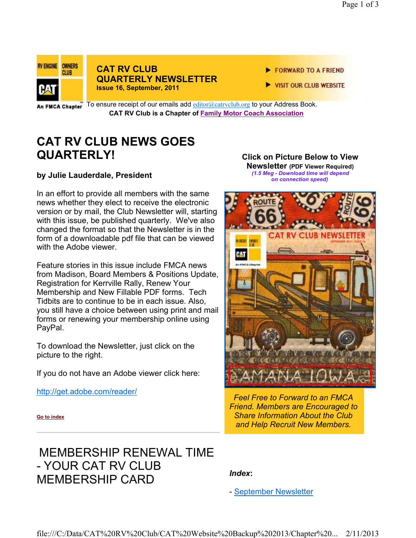

### **CAT RV CLUB QUARTERLY NEWSLETTER Issue 16, September, 2011**

- FORWARD TO A FRIEND
- VISIT OUR CLUB WEBSITE

In FMCA Chapter  $\overline{a}$  To ensure receipt of our emails add  $\underline{cditor@catrvclub.org}$  to your Address Book. **CAT RV Club is a Chapter of Family Motor Coach Association** 

## **CAT RV CLUB NEWS GOES QUARTERLY!**

**by Julie Lauderdale, President**

In an effort to provide all members with the same news whether they elect to receive the electronic version or by mail, the Club Newsletter will, starting with this issue, be published quarterly. We've also changed the format so that the Newsletter is in the form of a downloadable pdf file that can be viewed with the Adobe viewer.

Feature stories in this issue include FMCA news from Madison, Board Members & Positions Update, Registration for Kerrville Rally, Renew Your Membership and New Fillable PDF forms. Tech Tidbits are to continue to be in each issue. Also, you still have a choice between using print and mail forms or renewing your membership online using PayPal.

To download the Newsletter, just click on the picture to the right.

If you do not have an Adobe viewer click here:

http://get.adobe.com/reader/

#### **Click on Picture Below to View Newsletter (PDF Viewer Required)**

 *(1.5 Meg - Download time will depend on connection speed)*



*Feel Free to Forward to an FMCA Friend. Members are Encouraged to Share Information About the Club and Help Recruit New Members.*

**Go to index**

## MEMBERSHIP RENEWAL TIME - YOUR CAT RV CLUB MEMBERSHIP CARD

### *Index***:**

- September Newsletter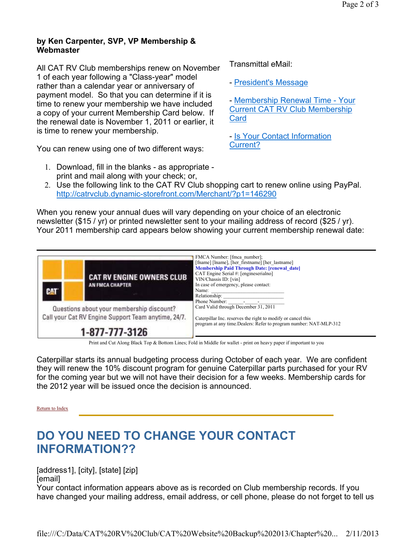### **by Ken Carpenter, SVP, VP Membership & Webmaster**

All CAT RV Club memberships renew on November 1 of each year following a "Class-year" model rather than a calendar year or anniversary of payment model. So that you can determine if it is time to renew your membership we have included a copy of your current Membership Card below. If the renewal date is November 1, 2011 or earlier, it is time to renew your membership.

You can renew using one of two different ways:

1. Download, fill in the blanks - as appropriate print and mail along with your check; or,

2. Use the following link to the CAT RV Club shopping cart to renew online using PayPal. http://catrvclub.dynamic-storefront.com/Merchant/?p1=146290

Transmittal eMail:

**Card** 

Current?

- President's Message

- Membership Renewal Time - Your Current CAT RV Club Membership

- Is Your Contact Information

When you renew your annual dues will vary depending on your choice of an electronic newsletter (\$15 / yr) or printed newsletter sent to your mailing address of record (\$25 / yr). Your 2011 membership card appears below showing your current membership renewal date:



Print and Cut Along Black Top & Bottom Lines; Fold in Middle for wallet - print on heavy paper if important to you

Caterpillar starts its annual budgeting process during October of each year. We are confident they will renew the 10% discount program for genuine Caterpillar parts purchased for your RV for the coming year but we will not have their decision for a few weeks. Membership cards for the 2012 year will be issued once the decision is announced.

Return to Index

# **DO YOU NEED TO CHANGE YOUR CONTACT INFORMATION??**

[address1], [city], [state] [zip] [email]

Your contact information appears above as is recorded on Club membership records. If you have changed your mailing address, email address, or cell phone, please do not forget to tell us